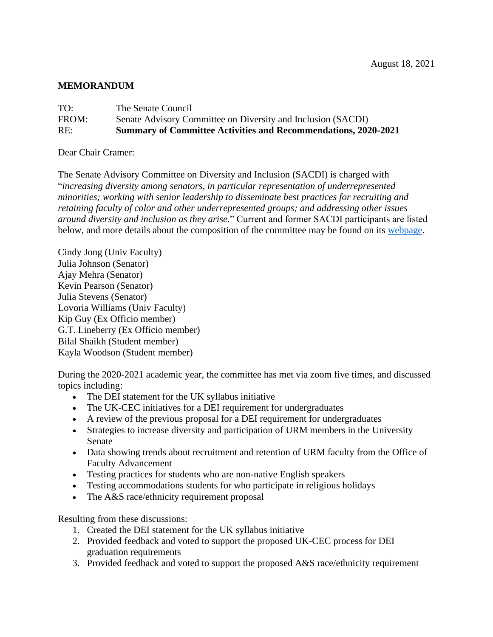## **MEMORANDUM**

| TO:   | The Senate Council                                                    |
|-------|-----------------------------------------------------------------------|
| FROM: | Senate Advisory Committee on Diversity and Inclusion (SACDI)          |
| RE:   | <b>Summary of Committee Activities and Recommendations, 2020-2021</b> |

Dear Chair Cramer:

The Senate Advisory Committee on Diversity and Inclusion (SACDI) is charged with "*increasing diversity among senators, in particular representation of underrepresented minorities; working with senior leadership to disseminate best practices for recruiting and retaining faculty of color and other underrepresented groups; and addressing other issues around diversity and inclusion as they arise.*" Current and former SACDI participants are listed below, and more details about the composition of the committee may be found on its [webpage.](https://www.uky.edu/universitysenate/committee/advisory-committee-diversity-and-inclusion)

Cindy Jong (Univ Faculty) Julia Johnson (Senator) Ajay Mehra (Senator) Kevin Pearson (Senator) Julia Stevens (Senator) Lovoria Williams (Univ Faculty) Kip Guy (Ex Officio member) G.T. Lineberry (Ex Officio member) Bilal Shaikh (Student member) Kayla Woodson (Student member)

During the 2020-2021 academic year, the committee has met via zoom five times, and discussed topics including:

- The DEI statement for the UK syllabus initiative
- The UK-CEC initiatives for a DEI requirement for undergraduates
- A review of the previous proposal for a DEI requirement for undergraduates
- Strategies to increase diversity and participation of URM members in the University Senate
- Data showing trends about recruitment and retention of URM faculty from the Office of Faculty Advancement
- Testing practices for students who are non-native English speakers
- Testing accommodations students for who participate in religious holidays
- The A&S race/ethnicity requirement proposal

Resulting from these discussions:

- 1. Created the DEI statement for the UK syllabus initiative
- 2. Provided feedback and voted to support the proposed UK-CEC process for DEI graduation requirements
- 3. Provided feedback and voted to support the proposed A&S race/ethnicity requirement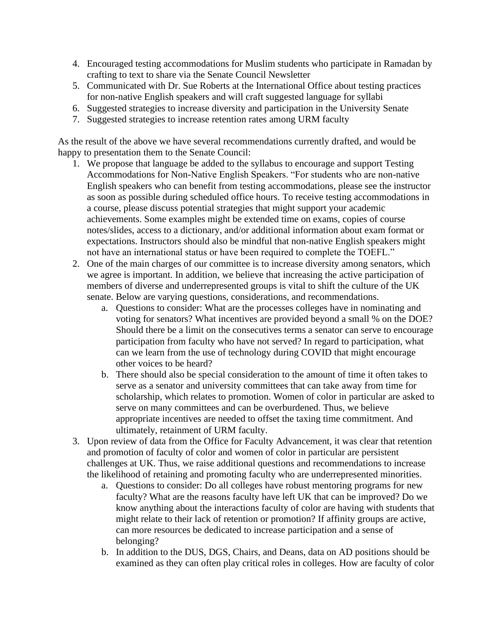- 4. Encouraged testing accommodations for Muslim students who participate in Ramadan by crafting to text to share via the Senate Council Newsletter
- 5. Communicated with Dr. Sue Roberts at the International Office about testing practices for non-native English speakers and will craft suggested language for syllabi
- 6. Suggested strategies to increase diversity and participation in the University Senate
- 7. Suggested strategies to increase retention rates among URM faculty

As the result of the above we have several recommendations currently drafted, and would be happy to presentation them to the Senate Council:

- 1. We propose that language be added to the syllabus to encourage and support Testing Accommodations for Non-Native English Speakers. "For students who are non-native English speakers who can benefit from testing accommodations, please see the instructor as soon as possible during scheduled office hours. To receive testing accommodations in a course, please discuss potential strategies that might support your academic achievements. Some examples might be extended time on exams, copies of course notes/slides, access to a dictionary, and/or additional information about exam format or expectations. Instructors should also be mindful that non-native English speakers might not have an international status or have been required to complete the TOEFL."
- 2. One of the main charges of our committee is to increase diversity among senators, which we agree is important. In addition, we believe that increasing the active participation of members of diverse and underrepresented groups is vital to shift the culture of the UK senate. Below are varying questions, considerations, and recommendations.
	- a. Questions to consider: What are the processes colleges have in nominating and voting for senators? What incentives are provided beyond a small % on the DOE? Should there be a limit on the consecutives terms a senator can serve to encourage participation from faculty who have not served? In regard to participation, what can we learn from the use of technology during COVID that might encourage other voices to be heard?
	- b. There should also be special consideration to the amount of time it often takes to serve as a senator and university committees that can take away from time for scholarship, which relates to promotion. Women of color in particular are asked to serve on many committees and can be overburdened. Thus, we believe appropriate incentives are needed to offset the taxing time commitment. And ultimately, retainment of URM faculty.
- 3. Upon review of data from the Office for Faculty Advancement, it was clear that retention and promotion of faculty of color and women of color in particular are persistent challenges at UK. Thus, we raise additional questions and recommendations to increase the likelihood of retaining and promoting faculty who are underrepresented minorities.
	- a. Questions to consider: Do all colleges have robust mentoring programs for new faculty? What are the reasons faculty have left UK that can be improved? Do we know anything about the interactions faculty of color are having with students that might relate to their lack of retention or promotion? If affinity groups are active, can more resources be dedicated to increase participation and a sense of belonging?
	- b. In addition to the DUS, DGS, Chairs, and Deans, data on AD positions should be examined as they can often play critical roles in colleges. How are faculty of color